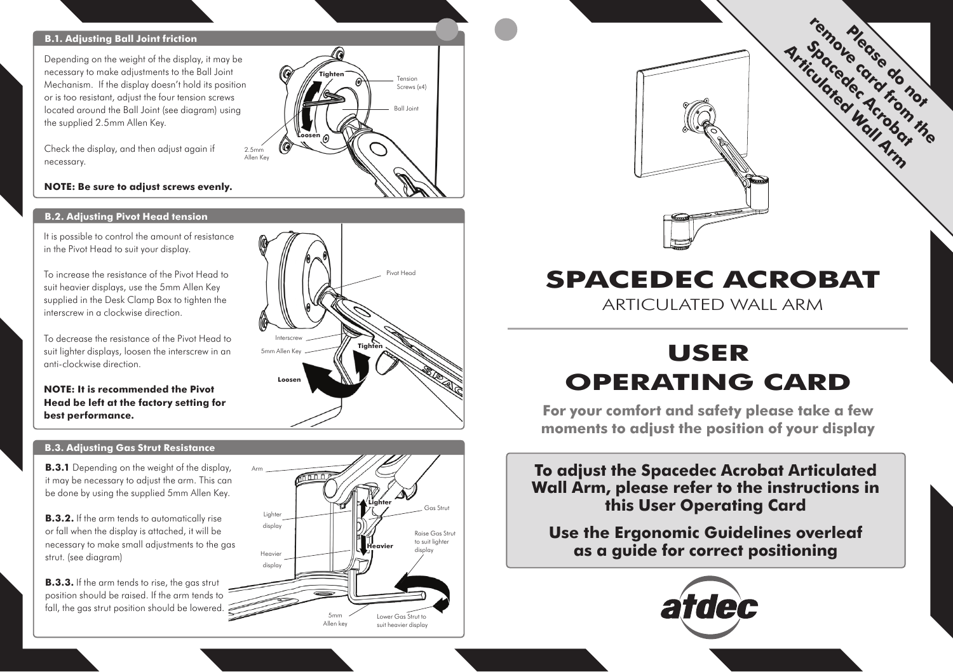### **B.1. Adjusting Ball Joint friction**

Depending on the weight of the display, it may be necessary to make adjustments to the Ball Joint Mechanism. If the display doesn't hold its position or is too resistant, adjust the four tension screws located around the Ball Joint (see diagram) using the supplied 2.5mm Allen Key.

Check the display, and then adjust again if necessary.

### **NOTE: Be sure to adjust screws evenly.**

### **B.2. Adjusting Pivot Head tension**

It is possible to control the amount of resistance in the Pivot Head to suit your display.

To increase the resistance of the Pivot Head to suit heavier displays, use the 5mm Allen Key supplied in the Desk Clamp Box to tighten the interscrew in a clockwise direction.

To decrease the resistance of the Pivot Head to suit lighter displays, loosen the interscrew in an anti-clockwise direction.

**NOTE: It is recommended the Pivot Head be left at the factory setting for best performance.** 

### **B.3. Adjusting Gas Strut Resistance**

**B.3.1** Depending on the weight of the display, it may be necessary to adjust the arm. This can be done by using the supplied 5mm Allen Key.

**B.3.2.** If the arm tends to automatically rise or fall when the display is attached, it will be necessary to make small adjustments to the gas strut. (see diagram)

**B.3.3.** If the arm tends to rise, the gas strut position should be raised. If the arm tends to fall, the gas strut position should be lowered.



5mm Allen key

**Tighten**

Tension Screws (x4) Ball Joint

> Raise Gas Strut to suit lighter display

Gas Strut **Lighter**

Lower Gas Strut to suit heavier display

**Heavier**

**Loosen**

2.5mm Allen Key

> **Lighter** display Heavier display

Arm



# **spacedec ACROBAT**

Articulated Wall Arm

## **USER OPERATING CARD**

**For your comfort and safety please take a few moments to adjust the position of your display**

**To adjust the Spacedec Acrobat Articulated Wall Arm, please refer to the instructions in this User Operating Card** 

**Use the Ergonomic Guidelines overleaf as a guide for correct positioning**